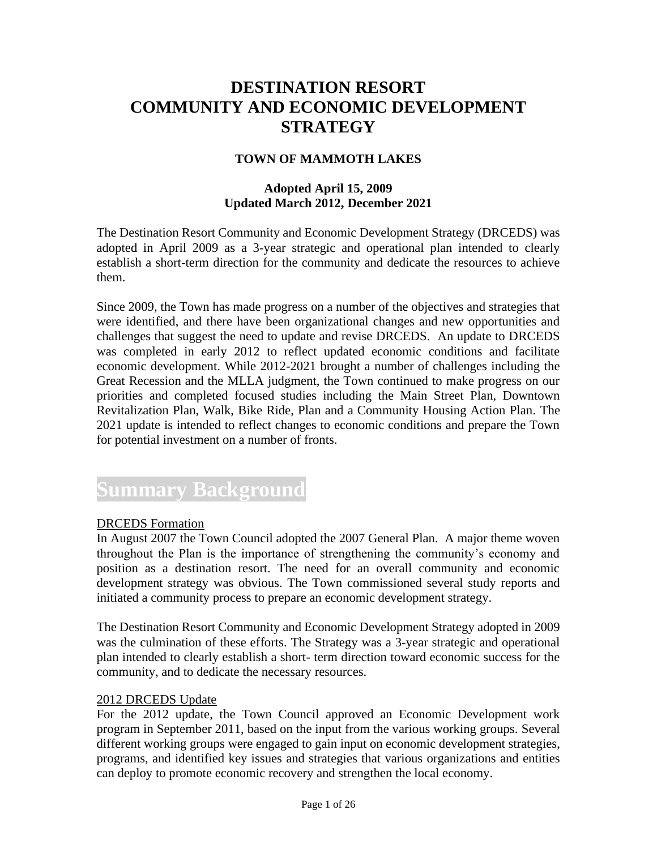### **DESTINATION RESORT COMMUNITY AND ECONOMIC DEVELOPMENT STRATEGY**

#### **TOWN OF MAMMOTH LAKES**

#### **Adopted April 15, 2009 Updated March 2012, December 2021**

The Destination Resort Community and Economic Development Strategy (DRCEDS) was adopted in April 2009 as a 3-year strategic and operational plan intended to clearly establish a short-term direction for the community and dedicate the resources to achieve them.

Since 2009, the Town has made progress on a number of the objectives and strategies that were identified, and there have been organizational changes and new opportunities and challenges that suggest the need to update and revise DRCEDS. An update to DRCEDS was completed in early 2012 to reflect updated economic conditions and facilitate economic development. While 2012-2021 brought a number of challenges including the Great Recession and the MLLA judgment, the Town continued to make progress on our priorities and completed focused studies including the Main Street Plan, Downtown Revitalization Plan, Walk, Bike Ride, Plan and a Community Housing Action Plan. The 2021 update is intended to reflect changes to economic conditions and prepare the Town for potential investment on a number of fronts.

## **Summary Background**

#### DRCEDS Formation

In August 2007 the Town Council adopted the 2007 General Plan. A major theme woven throughout the Plan is the importance of strengthening the community's economy and position as a destination resort. The need for an overall community and economic development strategy was obvious. The Town commissioned several study reports and initiated a community process to prepare an economic development strategy.

The Destination Resort Community and Economic Development Strategy adopted in 2009 was the culmination of these efforts. The Strategy was a 3-year strategic and operational plan intended to clearly establish a short- term direction toward economic success for the community, and to dedicate the necessary resources.

#### 2012 DRCEDS Update

For the 2012 update, the Town Council approved an Economic Development work program in September 2011, based on the input from the various working groups. Several different working groups were engaged to gain input on economic development strategies, programs, and identified key issues and strategies that various organizations and entities can deploy to promote economic recovery and strengthen the local economy.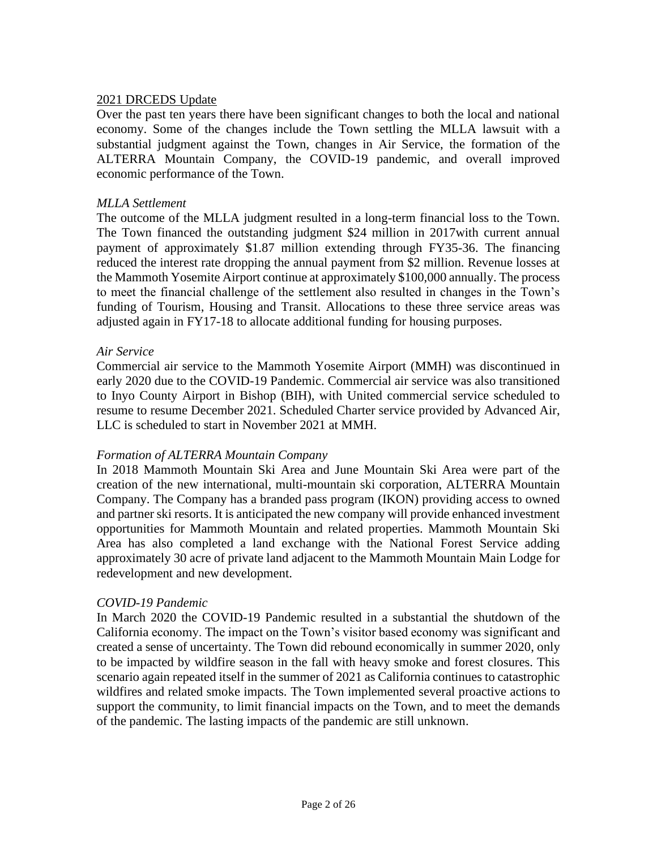#### 2021 DRCEDS Update

Over the past ten years there have been significant changes to both the local and national economy. Some of the changes include the Town settling the MLLA lawsuit with a substantial judgment against the Town, changes in Air Service, the formation of the ALTERRA Mountain Company, the COVID-19 pandemic, and overall improved economic performance of the Town.

#### *MLLA Settlement*

The outcome of the MLLA judgment resulted in a long-term financial loss to the Town. The Town financed the outstanding judgment \$24 million in 2017with current annual payment of approximately \$1.87 million extending through FY35-36. The financing reduced the interest rate dropping the annual payment from \$2 million. Revenue losses at the Mammoth Yosemite Airport continue at approximately \$100,000 annually. The process to meet the financial challenge of the settlement also resulted in changes in the Town's funding of Tourism, Housing and Transit. Allocations to these three service areas was adjusted again in FY17-18 to allocate additional funding for housing purposes.

#### *Air Service*

Commercial air service to the Mammoth Yosemite Airport (MMH) was discontinued in early 2020 due to the COVID-19 Pandemic. Commercial air service was also transitioned to Inyo County Airport in Bishop (BIH), with United commercial service scheduled to resume to resume December 2021. Scheduled Charter service provided by Advanced Air, LLC is scheduled to start in November 2021 at MMH.

#### *Formation of ALTERRA Mountain Company*

In 2018 Mammoth Mountain Ski Area and June Mountain Ski Area were part of the creation of the new international, multi-mountain ski corporation, ALTERRA Mountain Company. The Company has a branded pass program (IKON) providing access to owned and partner ski resorts. It is anticipated the new company will provide enhanced investment opportunities for Mammoth Mountain and related properties. Mammoth Mountain Ski Area has also completed a land exchange with the National Forest Service adding approximately 30 acre of private land adjacent to the Mammoth Mountain Main Lodge for redevelopment and new development.

#### *COVID-19 Pandemic*

In March 2020 the COVID-19 Pandemic resulted in a substantial the shutdown of the California economy. The impact on the Town's visitor based economy was significant and created a sense of uncertainty. The Town did rebound economically in summer 2020, only to be impacted by wildfire season in the fall with heavy smoke and forest closures. This scenario again repeated itself in the summer of 2021 as California continues to catastrophic wildfires and related smoke impacts. The Town implemented several proactive actions to support the community, to limit financial impacts on the Town, and to meet the demands of the pandemic. The lasting impacts of the pandemic are still unknown.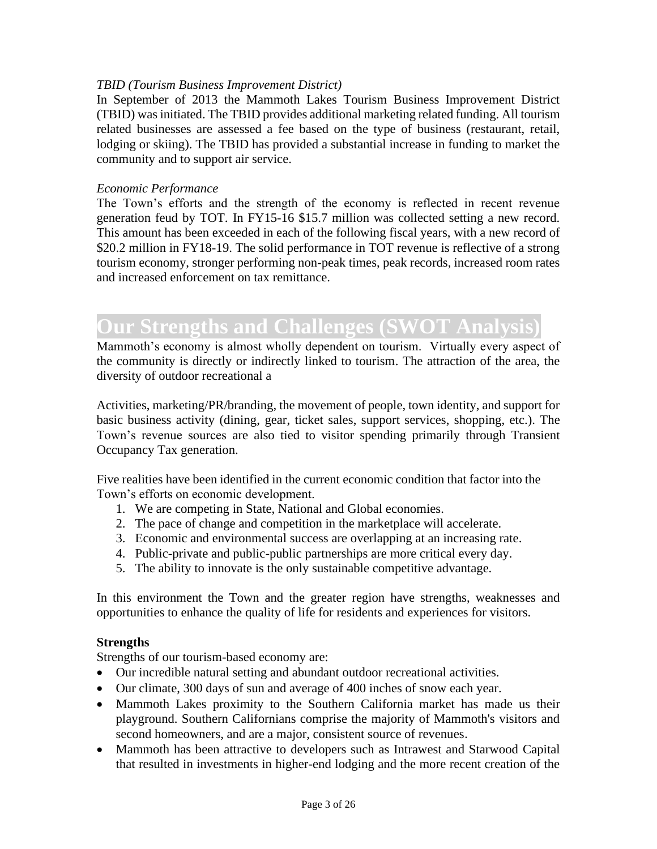#### *TBID (Tourism Business Improvement District)*

In September of 2013 the Mammoth Lakes Tourism Business Improvement District (TBID) was initiated. The TBID provides additional marketing related funding. All tourism related businesses are assessed a fee based on the type of business (restaurant, retail, lodging or skiing). The TBID has provided a substantial increase in funding to market the community and to support air service.

#### *Economic Performance*

The Town's efforts and the strength of the economy is reflected in recent revenue generation feud by TOT. In FY15-16 \$15.7 million was collected setting a new record. This amount has been exceeded in each of the following fiscal years, with a new record of \$20.2 million in FY18-19. The solid performance in TOT revenue is reflective of a strong tourism economy, stronger performing non-peak times, peak records, increased room rates and increased enforcement on tax remittance.

## **Our Strengths and Challenges (SWOT Analysis)**

Mammoth's economy is almost wholly dependent on tourism. Virtually every aspect of the community is directly or indirectly linked to tourism. The attraction of the area, the diversity of outdoor recreational a

Activities, marketing/PR/branding, the movement of people, town identity, and support for basic business activity (dining, gear, ticket sales, support services, shopping, etc.). The Town's revenue sources are also tied to visitor spending primarily through Transient Occupancy Tax generation.

Five realities have been identified in the current economic condition that factor into the Town's efforts on economic development.

- 1. We are competing in State, National and Global economies.
- 2. The pace of change and competition in the marketplace will accelerate.
- 3. Economic and environmental success are overlapping at an increasing rate.
- 4. Public-private and public-public partnerships are more critical every day.
- 5. The ability to innovate is the only sustainable competitive advantage.

In this environment the Town and the greater region have strengths, weaknesses and opportunities to enhance the quality of life for residents and experiences for visitors.

#### **Strengths**

Strengths of our tourism-based economy are:

- Our incredible natural setting and abundant outdoor recreational activities.
- Our climate, 300 days of sun and average of 400 inches of snow each year.
- Mammoth Lakes proximity to the Southern California market has made us their playground. Southern Californians comprise the majority of Mammoth's visitors and second homeowners, and are a major, consistent source of revenues.
- Mammoth has been attractive to developers such as Intrawest and Starwood Capital that resulted in investments in higher-end lodging and the more recent creation of the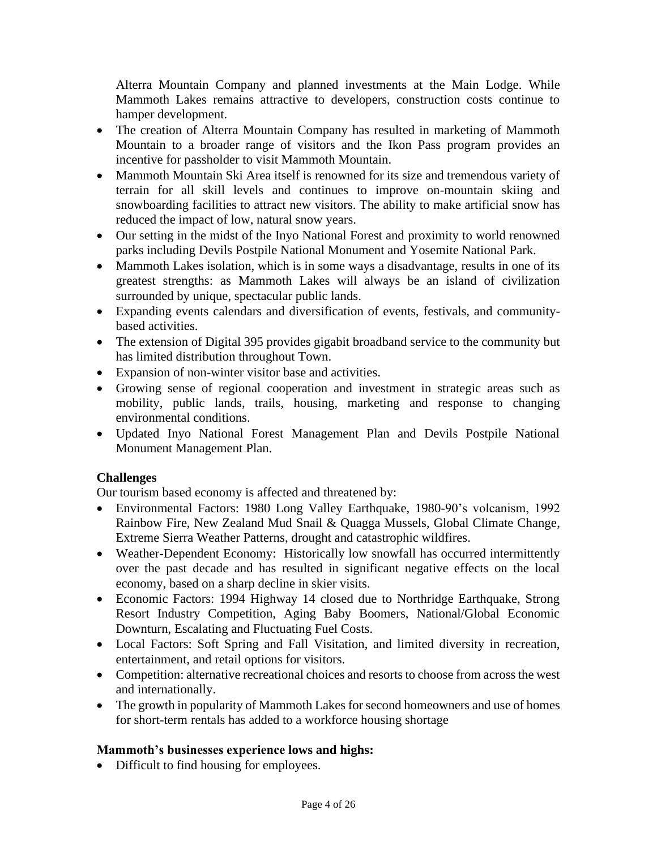Alterra Mountain Company and planned investments at the Main Lodge. While Mammoth Lakes remains attractive to developers, construction costs continue to hamper development.

- The creation of Alterra Mountain Company has resulted in marketing of Mammoth Mountain to a broader range of visitors and the Ikon Pass program provides an incentive for passholder to visit Mammoth Mountain.
- Mammoth Mountain Ski Area itself is renowned for its size and tremendous variety of terrain for all skill levels and continues to improve on-mountain skiing and snowboarding facilities to attract new visitors. The ability to make artificial snow has reduced the impact of low, natural snow years.
- Our setting in the midst of the Inyo National Forest and proximity to world renowned parks including Devils Postpile National Monument and Yosemite National Park.
- Mammoth Lakes isolation, which is in some ways a disadvantage, results in one of its greatest strengths: as Mammoth Lakes will always be an island of civilization surrounded by unique, spectacular public lands.
- Expanding events calendars and diversification of events, festivals, and communitybased activities.
- The extension of Digital 395 provides gigabit broadband service to the community but has limited distribution throughout Town.
- Expansion of non-winter visitor base and activities.
- Growing sense of regional cooperation and investment in strategic areas such as mobility, public lands, trails, housing, marketing and response to changing environmental conditions.
- Updated Inyo National Forest Management Plan and Devils Postpile National Monument Management Plan.

#### **Challenges**

Our tourism based economy is affected and threatened by:

- Environmental Factors: 1980 Long Valley Earthquake, 1980-90's volcanism, 1992 Rainbow Fire, New Zealand Mud Snail & Quagga Mussels, Global Climate Change, Extreme Sierra Weather Patterns, drought and catastrophic wildfires.
- Weather-Dependent Economy: Historically low snowfall has occurred intermittently over the past decade and has resulted in significant negative effects on the local economy, based on a sharp decline in skier visits.
- Economic Factors: 1994 Highway 14 closed due to Northridge Earthquake, Strong Resort Industry Competition, Aging Baby Boomers, National/Global Economic Downturn, Escalating and Fluctuating Fuel Costs.
- Local Factors: Soft Spring and Fall Visitation, and limited diversity in recreation, entertainment, and retail options for visitors.
- Competition: alternative recreational choices and resorts to choose from across the west and internationally.
- The growth in popularity of Mammoth Lakes for second homeowners and use of homes for short-term rentals has added to a workforce housing shortage

### **Mammoth's businesses experience lows and highs:**

• Difficult to find housing for employees.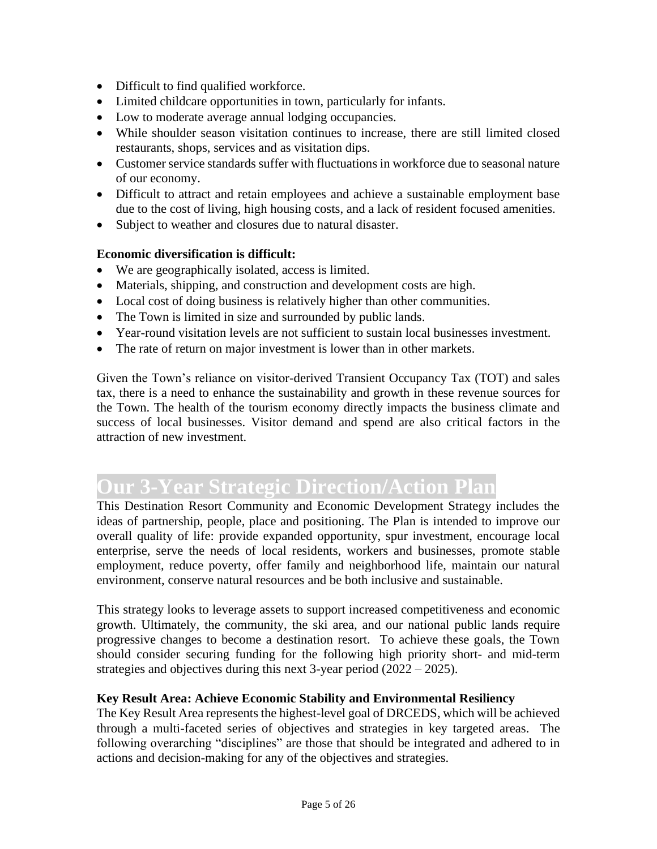- Difficult to find qualified workforce.
- Limited childcare opportunities in town, particularly for infants.
- Low to moderate average annual lodging occupancies.
- While shoulder season visitation continues to increase, there are still limited closed restaurants, shops, services and as visitation dips.
- Customer service standards suffer with fluctuations in workforce due to seasonal nature of our economy.
- Difficult to attract and retain employees and achieve a sustainable employment base due to the cost of living, high housing costs, and a lack of resident focused amenities.
- Subject to weather and closures due to natural disaster.

#### **Economic diversification is difficult:**

- We are geographically isolated, access is limited.
- Materials, shipping, and construction and development costs are high.
- Local cost of doing business is relatively higher than other communities.
- The Town is limited in size and surrounded by public lands.
- Year-round visitation levels are not sufficient to sustain local businesses investment.
- The rate of return on major investment is lower than in other markets.

Given the Town's reliance on visitor-derived Transient Occupancy Tax (TOT) and sales tax, there is a need to enhance the sustainability and growth in these revenue sources for the Town. The health of the tourism economy directly impacts the business climate and success of local businesses. Visitor demand and spend are also critical factors in the attraction of new investment.

# **Our 3-Year Strategic Direction/Action Plan**

This Destination Resort Community and Economic Development Strategy includes the ideas of partnership, people, place and positioning. The Plan is intended to improve our overall quality of life: provide expanded opportunity, spur investment, encourage local enterprise, serve the needs of local residents, workers and businesses, promote stable employment, reduce poverty, offer family and neighborhood life, maintain our natural environment, conserve natural resources and be both inclusive and sustainable.

This strategy looks to leverage assets to support increased competitiveness and economic growth. Ultimately, the community, the ski area, and our national public lands require progressive changes to become a destination resort. To achieve these goals, the Town should consider securing funding for the following high priority short- and mid-term strategies and objectives during this next 3-year period (2022 – 2025).

#### **Key Result Area: Achieve Economic Stability and Environmental Resiliency**

The Key Result Area represents the highest-level goal of DRCEDS, which will be achieved through a multi-faceted series of objectives and strategies in key targeted areas. The following overarching "disciplines" are those that should be integrated and adhered to in actions and decision-making for any of the objectives and strategies.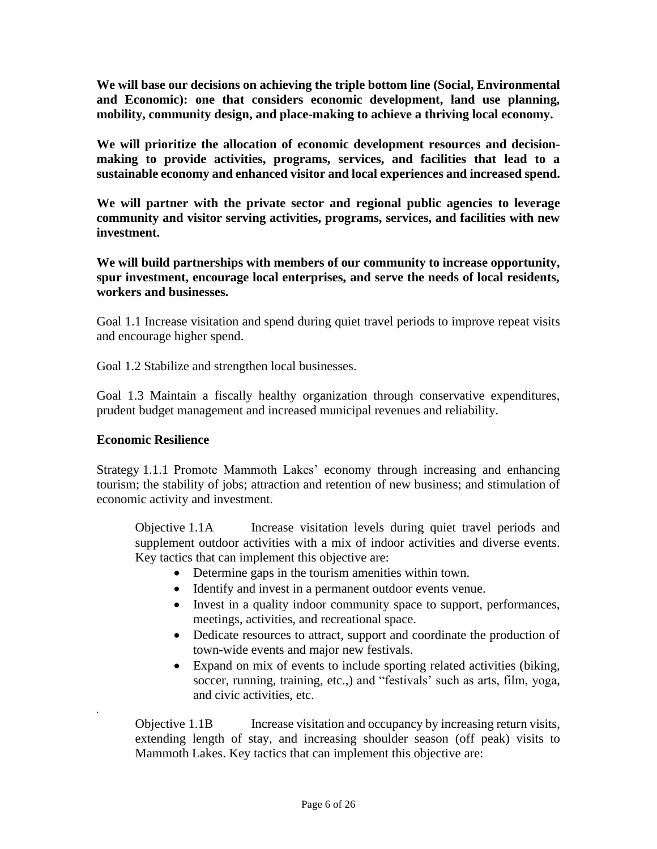**We will base our decisions on achieving the triple bottom line (Social, Environmental and Economic): one that considers economic development, land use planning, mobility, community design, and place-making to achieve a thriving local economy.** 

**We will prioritize the allocation of economic development resources and decisionmaking to provide activities, programs, services, and facilities that lead to a sustainable economy and enhanced visitor and local experiences and increased spend.**

**We will partner with the private sector and regional public agencies to leverage community and visitor serving activities, programs, services, and facilities with new investment.**

**We will build partnerships with members of our community to increase opportunity, spur investment, encourage local enterprises, and serve the needs of local residents, workers and businesses.** 

Goal 1.1 Increase visitation and spend during quiet travel periods to improve repeat visits and encourage higher spend.

Goal 1.2 Stabilize and strengthen local businesses.

Goal 1.3 Maintain a fiscally healthy organization through conservative expenditures, prudent budget management and increased municipal revenues and reliability.

#### **Economic Resilience**

.

Strategy 1.1.1 Promote Mammoth Lakes' economy through increasing and enhancing tourism; the stability of jobs; attraction and retention of new business; and stimulation of economic activity and investment.

Objective 1.1A Increase visitation levels during quiet travel periods and supplement outdoor activities with a mix of indoor activities and diverse events. Key tactics that can implement this objective are:

- Determine gaps in the tourism amenities within town.
- Identify and invest in a permanent outdoor events venue.
- Invest in a quality indoor community space to support, performances, meetings, activities, and recreational space.
- Dedicate resources to attract, support and coordinate the production of town-wide events and major new festivals.
- Expand on mix of events to include sporting related activities (biking, soccer, running, training, etc.,) and "festivals' such as arts, film, yoga, and civic activities, etc.

Objective 1.1B Increase visitation and occupancy by increasing return visits, extending length of stay, and increasing shoulder season (off peak) visits to Mammoth Lakes. Key tactics that can implement this objective are: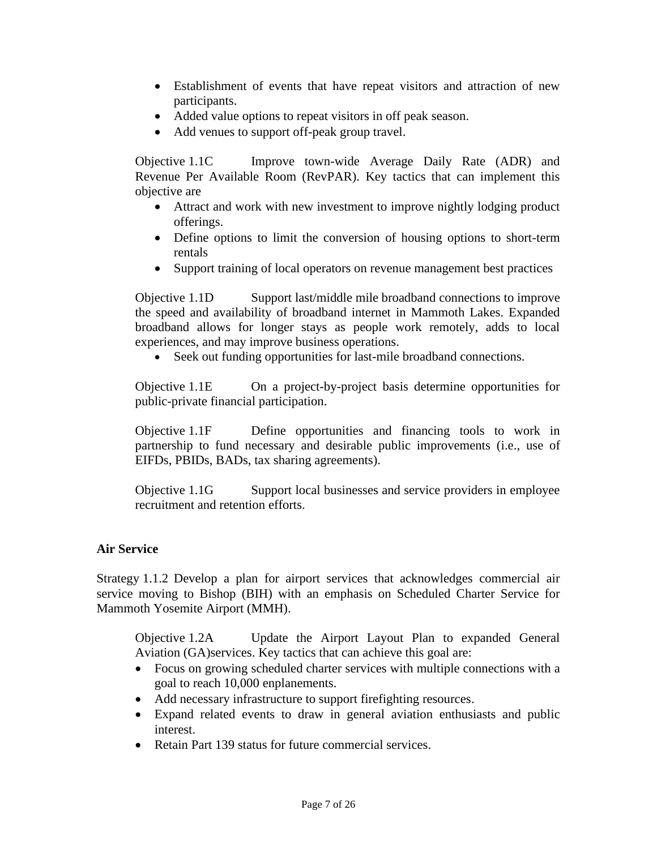- Establishment of events that have repeat visitors and attraction of new participants.
- Added value options to repeat visitors in off peak season.
- Add venues to support off-peak group travel.

Objective 1.1C Improve town-wide Average Daily Rate (ADR) and Revenue Per Available Room (RevPAR). Key tactics that can implement this objective are

- Attract and work with new investment to improve nightly lodging product offerings.
- Define options to limit the conversion of housing options to short-term rentals
- Support training of local operators on revenue management best practices

Objective 1.1D Support last/middle mile broadband connections to improve the speed and availability of broadband internet in Mammoth Lakes. Expanded broadband allows for longer stays as people work remotely, adds to local experiences, and may improve business operations.

Seek out funding opportunities for last-mile broadband connections.

Objective 1.1E On a project-by-project basis determine opportunities for public-private financial participation.

Objective 1.1F Define opportunities and financing tools to work in partnership to fund necessary and desirable public improvements (i.e., use of EIFDs, PBIDs, BADs, tax sharing agreements).

Objective 1.1G Support local businesses and service providers in employee recruitment and retention efforts.

#### **Air Service**

Strategy 1.1.2 Develop a plan for airport services that acknowledges commercial air service moving to Bishop (BIH) with an emphasis on Scheduled Charter Service for Mammoth Yosemite Airport (MMH).

Objective 1.2A Update the Airport Layout Plan to expanded General Aviation (GA)services. Key tactics that can achieve this goal are:

- Focus on growing scheduled charter services with multiple connections with a goal to reach 10,000 enplanements.
- Add necessary infrastructure to support firefighting resources.
- Expand related events to draw in general aviation enthusiasts and public interest.
- Retain Part 139 status for future commercial services.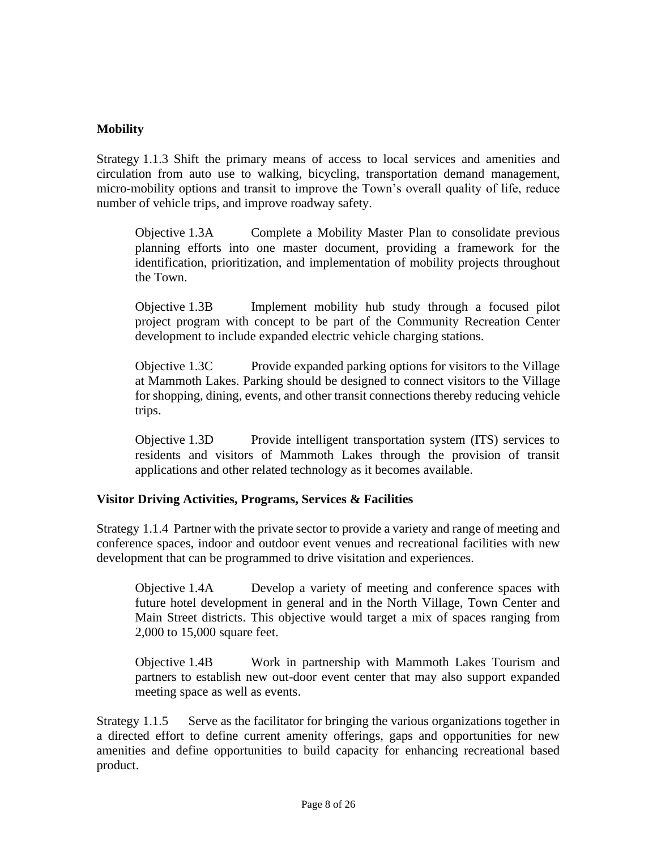#### **Mobility**

Strategy 1.1.3 Shift the primary means of access to local services and amenities and circulation from auto use to walking, bicycling, transportation demand management, micro-mobility options and transit to improve the Town's overall quality of life, reduce number of vehicle trips, and improve roadway safety.

Objective 1.3A Complete a Mobility Master Plan to consolidate previous planning efforts into one master document, providing a framework for the identification, prioritization, and implementation of mobility projects throughout the Town.

Objective 1.3B Implement mobility hub study through a focused pilot project program with concept to be part of the Community Recreation Center development to include expanded electric vehicle charging stations.

Objective 1.3C Provide expanded parking options for visitors to the Village at Mammoth Lakes. Parking should be designed to connect visitors to the Village for shopping, dining, events, and other transit connections thereby reducing vehicle trips.

Objective 1.3D Provide intelligent transportation system (ITS) services to residents and visitors of Mammoth Lakes through the provision of transit applications and other related technology as it becomes available.

#### **Visitor Driving Activities, Programs, Services & Facilities**

Strategy 1.1.4 Partner with the private sector to provide a variety and range of meeting and conference spaces, indoor and outdoor event venues and recreational facilities with new development that can be programmed to drive visitation and experiences.

Objective 1.4A Develop a variety of meeting and conference spaces with future hotel development in general and in the North Village, Town Center and Main Street districts. This objective would target a mix of spaces ranging from 2,000 to 15,000 square feet.

Objective 1.4B Work in partnership with Mammoth Lakes Tourism and partners to establish new out-door event center that may also support expanded meeting space as well as events.

Strategy 1.1.5 Serve as the facilitator for bringing the various organizations together in a directed effort to define current amenity offerings, gaps and opportunities for new amenities and define opportunities to build capacity for enhancing recreational based product.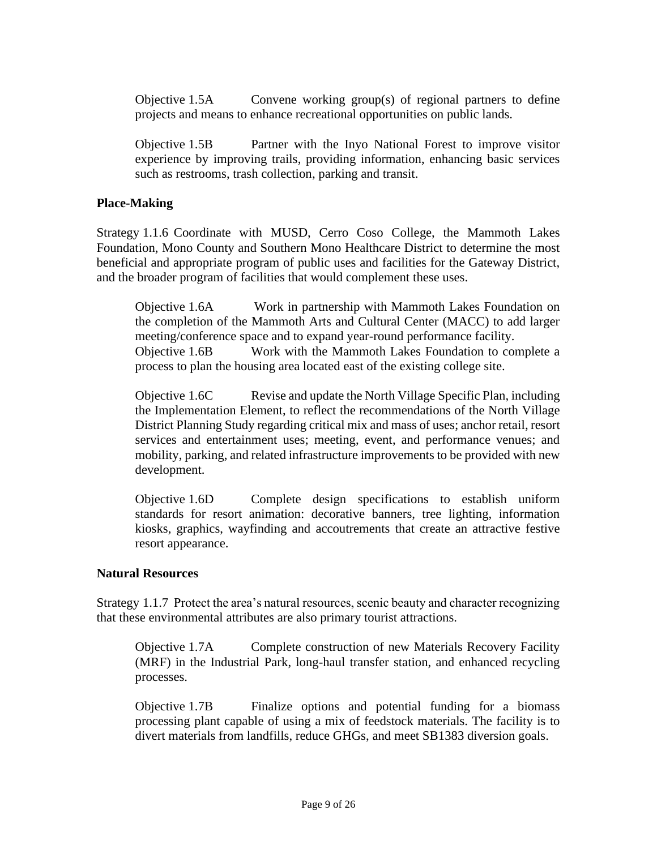Objective 1.5A Convene working group(s) of regional partners to define projects and means to enhance recreational opportunities on public lands.

Objective 1.5B Partner with the Inyo National Forest to improve visitor experience by improving trails, providing information, enhancing basic services such as restrooms, trash collection, parking and transit.

#### **Place-Making**

Strategy 1.1.6 Coordinate with MUSD, Cerro Coso College, the Mammoth Lakes Foundation, Mono County and Southern Mono Healthcare District to determine the most beneficial and appropriate program of public uses and facilities for the Gateway District, and the broader program of facilities that would complement these uses.

Objective 1.6A Work in partnership with Mammoth Lakes Foundation on the completion of the Mammoth Arts and Cultural Center (MACC) to add larger meeting/conference space and to expand year-round performance facility. Objective 1.6B Work with the Mammoth Lakes Foundation to complete a process to plan the housing area located east of the existing college site.

Objective 1.6C Revise and update the North Village Specific Plan, including the Implementation Element, to reflect the recommendations of the North Village District Planning Study regarding critical mix and mass of uses; anchor retail, resort services and entertainment uses; meeting, event, and performance venues; and mobility, parking, and related infrastructure improvements to be provided with new development.

Objective 1.6D Complete design specifications to establish uniform standards for resort animation: decorative banners, tree lighting, information kiosks, graphics, wayfinding and accoutrements that create an attractive festive resort appearance.

#### **Natural Resources**

Strategy 1.1.7 Protect the area's natural resources, scenic beauty and character recognizing that these environmental attributes are also primary tourist attractions.

Objective 1.7A Complete construction of new Materials Recovery Facility (MRF) in the Industrial Park, long-haul transfer station, and enhanced recycling processes.

Objective 1.7B Finalize options and potential funding for a biomass processing plant capable of using a mix of feedstock materials. The facility is to divert materials from landfills, reduce GHGs, and meet SB1383 diversion goals.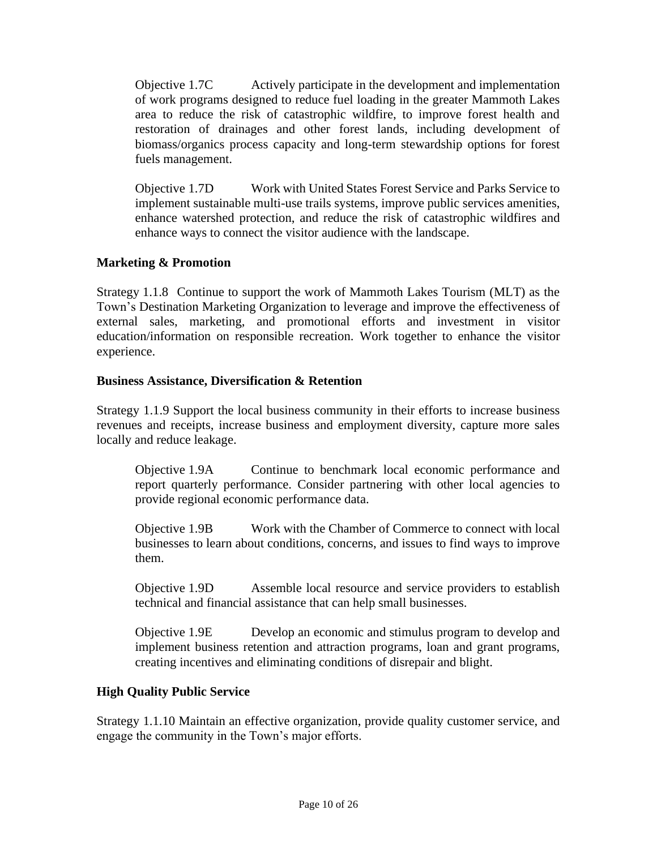Objective 1.7C Actively participate in the development and implementation of work programs designed to reduce fuel loading in the greater Mammoth Lakes area to reduce the risk of catastrophic wildfire, to improve forest health and restoration of drainages and other forest lands, including development of biomass/organics process capacity and long-term stewardship options for forest fuels management.

Objective 1.7D Work with United States Forest Service and Parks Service to implement sustainable multi-use trails systems, improve public services amenities, enhance watershed protection, and reduce the risk of catastrophic wildfires and enhance ways to connect the visitor audience with the landscape.

#### **Marketing & Promotion**

Strategy 1.1.8 Continue to support the work of Mammoth Lakes Tourism (MLT) as the Town's Destination Marketing Organization to leverage and improve the effectiveness of external sales, marketing, and promotional efforts and investment in visitor education/information on responsible recreation. Work together to enhance the visitor experience.

#### **Business Assistance, Diversification & Retention**

Strategy 1.1.9 Support the local business community in their efforts to increase business revenues and receipts, increase business and employment diversity, capture more sales locally and reduce leakage.

Objective 1.9A Continue to benchmark local economic performance and report quarterly performance. Consider partnering with other local agencies to provide regional economic performance data.

Objective 1.9B Work with the Chamber of Commerce to connect with local businesses to learn about conditions, concerns, and issues to find ways to improve them.

Objective 1.9D Assemble local resource and service providers to establish technical and financial assistance that can help small businesses.

Objective 1.9E Develop an economic and stimulus program to develop and implement business retention and attraction programs, loan and grant programs, creating incentives and eliminating conditions of disrepair and blight.

#### **High Quality Public Service**

Strategy 1.1.10 Maintain an effective organization, provide quality customer service, and engage the community in the Town's major efforts.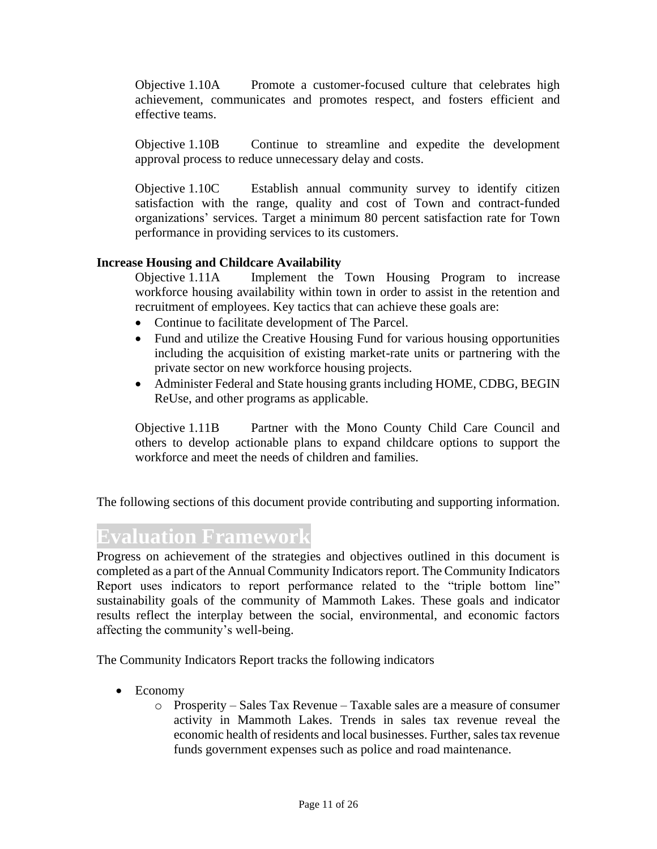Objective 1.10A Promote a customer-focused culture that celebrates high achievement, communicates and promotes respect, and fosters efficient and effective teams.

Objective 1.10B Continue to streamline and expedite the development approval process to reduce unnecessary delay and costs.

Objective 1.10C Establish annual community survey to identify citizen satisfaction with the range, quality and cost of Town and contract-funded organizations' services. Target a minimum 80 percent satisfaction rate for Town performance in providing services to its customers.

#### **Increase Housing and Childcare Availability**

Objective 1.11A Implement the Town Housing Program to increase workforce housing availability within town in order to assist in the retention and recruitment of employees. Key tactics that can achieve these goals are:

- Continue to facilitate development of The Parcel.
- Fund and utilize the Creative Housing Fund for various housing opportunities including the acquisition of existing market-rate units or partnering with the private sector on new workforce housing projects.
- Administer Federal and State housing grants including HOME, CDBG, BEGIN ReUse, and other programs as applicable.

Objective 1.11B Partner with the Mono County Child Care Council and others to develop actionable plans to expand childcare options to support the workforce and meet the needs of children and families.

The following sections of this document provide contributing and supporting information.

### **Evaluation Framework**

Progress on achievement of the strategies and objectives outlined in this document is completed as a part of the Annual Community Indicators report. The Community Indicators Report uses indicators to report performance related to the "triple bottom line" sustainability goals of the community of Mammoth Lakes. These goals and indicator results reflect the interplay between the social, environmental, and economic factors affecting the community's well-being.

The Community Indicators Report tracks the following indicators

- Economy
	- o Prosperity Sales Tax Revenue Taxable sales are a measure of consumer activity in Mammoth Lakes. Trends in sales tax revenue reveal the economic health of residents and local businesses. Further, sales tax revenue funds government expenses such as police and road maintenance.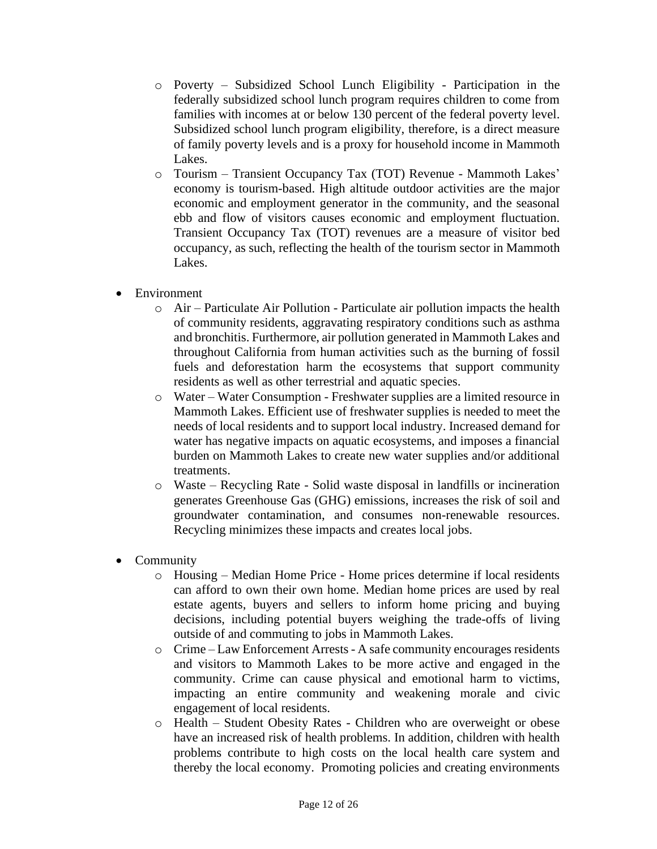- o Poverty Subsidized School Lunch Eligibility Participation in the federally subsidized school lunch program requires children to come from families with incomes at or below 130 percent of the federal poverty level. Subsidized school lunch program eligibility, therefore, is a direct measure of family poverty levels and is a proxy for household income in Mammoth Lakes.
- o Tourism Transient Occupancy Tax (TOT) Revenue Mammoth Lakes' economy is tourism-based. High altitude outdoor activities are the major economic and employment generator in the community, and the seasonal ebb and flow of visitors causes economic and employment fluctuation. Transient Occupancy Tax (TOT) revenues are a measure of visitor bed occupancy, as such, reflecting the health of the tourism sector in Mammoth Lakes.
- Environment
	- $\circ$  Air Particulate Air Pollution Particulate air pollution impacts the health of community residents, aggravating respiratory conditions such as asthma and bronchitis. Furthermore, air pollution generated in Mammoth Lakes and throughout California from human activities such as the burning of fossil fuels and deforestation harm the ecosystems that support community residents as well as other terrestrial and aquatic species.
	- o Water Water Consumption Freshwater supplies are a limited resource in Mammoth Lakes. Efficient use of freshwater supplies is needed to meet the needs of local residents and to support local industry. Increased demand for water has negative impacts on aquatic ecosystems, and imposes a financial burden on Mammoth Lakes to create new water supplies and/or additional treatments.
	- o Waste Recycling Rate Solid waste disposal in landfills or incineration generates Greenhouse Gas (GHG) emissions, increases the risk of soil and groundwater contamination, and consumes non-renewable resources. Recycling minimizes these impacts and creates local jobs.
- Community
	- o Housing Median Home Price Home prices determine if local residents can afford to own their own home. Median home prices are used by real estate agents, buyers and sellers to inform home pricing and buying decisions, including potential buyers weighing the trade-offs of living outside of and commuting to jobs in Mammoth Lakes.
	- o Crime Law Enforcement Arrests A safe community encourages residents and visitors to Mammoth Lakes to be more active and engaged in the community. Crime can cause physical and emotional harm to victims, impacting an entire community and weakening morale and civic engagement of local residents.
	- o Health Student Obesity Rates Children who are overweight or obese have an increased risk of health problems. In addition, children with health problems contribute to high costs on the local health care system and thereby the local economy. Promoting policies and creating environments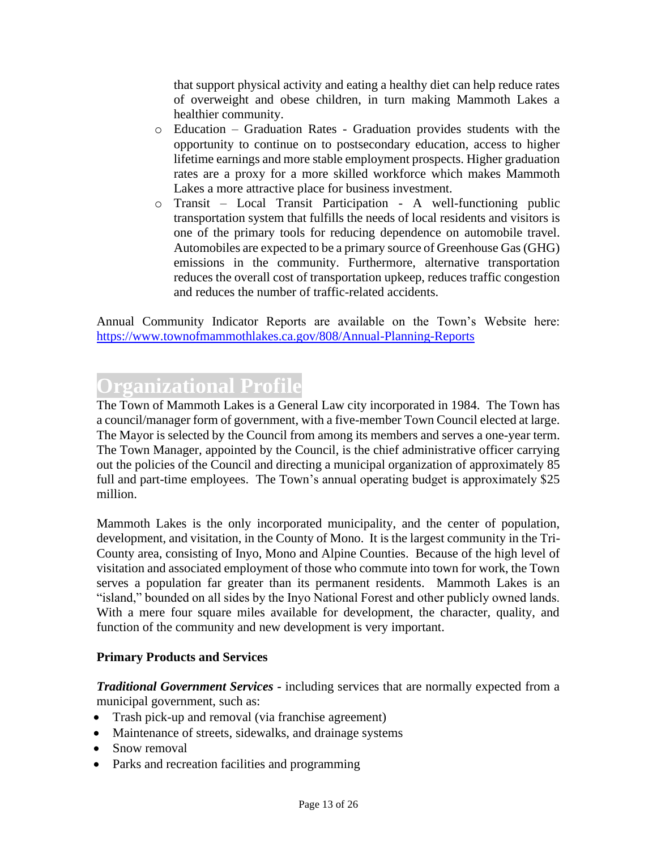that support physical activity and eating a healthy diet can help reduce rates of overweight and obese children, in turn making Mammoth Lakes a healthier community.

- o Education Graduation Rates Graduation provides students with the opportunity to continue on to postsecondary education, access to higher lifetime earnings and more stable employment prospects. Higher graduation rates are a proxy for a more skilled workforce which makes Mammoth Lakes a more attractive place for business investment.
- o Transit Local Transit Participation A well-functioning public transportation system that fulfills the needs of local residents and visitors is one of the primary tools for reducing dependence on automobile travel. Automobiles are expected to be a primary source of Greenhouse Gas (GHG) emissions in the community. Furthermore, alternative transportation reduces the overall cost of transportation upkeep, reduces traffic congestion and reduces the number of traffic-related accidents.

Annual Community Indicator Reports are available on the Town's Website here: <https://www.townofmammothlakes.ca.gov/808/Annual-Planning-Reports>

# **Organizational Profile**

The Town of Mammoth Lakes is a General Law city incorporated in 1984. The Town has a council/manager form of government, with a five-member Town Council elected at large. The Mayor is selected by the Council from among its members and serves a one-year term. The Town Manager, appointed by the Council, is the chief administrative officer carrying out the policies of the Council and directing a municipal organization of approximately 85 full and part-time employees. The Town's annual operating budget is approximately \$25 million.

Mammoth Lakes is the only incorporated municipality, and the center of population, development, and visitation, in the County of Mono. It is the largest community in the Tri-County area, consisting of Inyo, Mono and Alpine Counties. Because of the high level of visitation and associated employment of those who commute into town for work, the Town serves a population far greater than its permanent residents. Mammoth Lakes is an "island," bounded on all sides by the Inyo National Forest and other publicly owned lands. With a mere four square miles available for development, the character, quality, and function of the community and new development is very important.

#### **Primary Products and Services**

*Traditional Government Services -* including services that are normally expected from a municipal government, such as:

- Trash pick-up and removal (via franchise agreement)
- Maintenance of streets, sidewalks, and drainage systems
- Snow removal
- Parks and recreation facilities and programming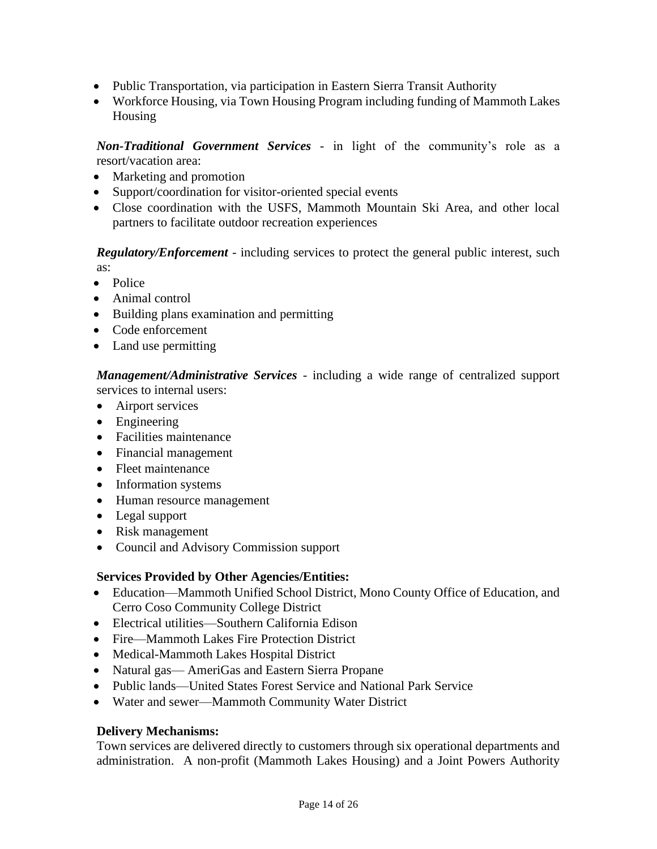- Public Transportation, via participation in Eastern Sierra Transit Authority
- Workforce Housing, via Town Housing Program including funding of Mammoth Lakes Housing

*Non-Traditional Government Services* - in light of the community's role as a resort/vacation area:

- Marketing and promotion
- Support/coordination for visitor-oriented special events
- Close coordination with the USFS, Mammoth Mountain Ski Area, and other local partners to facilitate outdoor recreation experiences

*Regulatory/Enforcement* - including services to protect the general public interest, such as:

- Police
- Animal control
- Building plans examination and permitting
- Code enforcement
- Land use permitting

*Management/Administrative Services* - including a wide range of centralized support services to internal users:

- Airport services
- Engineering
- Facilities maintenance
- Financial management
- Fleet maintenance
- Information systems
- Human resource management
- Legal support
- Risk management
- Council and Advisory Commission support

#### **Services Provided by Other Agencies/Entities:**

- Education—Mammoth Unified School District, Mono County Office of Education, and Cerro Coso Community College District
- Electrical utilities—Southern California Edison
- Fire—Mammoth Lakes Fire Protection District
- Medical-Mammoth Lakes Hospital District
- Natural gas— AmeriGas and Eastern Sierra Propane
- Public lands—United States Forest Service and National Park Service
- Water and sewer—Mammoth Community Water District

#### **Delivery Mechanisms:**

Town services are delivered directly to customers through six operational departments and administration. A non-profit (Mammoth Lakes Housing) and a Joint Powers Authority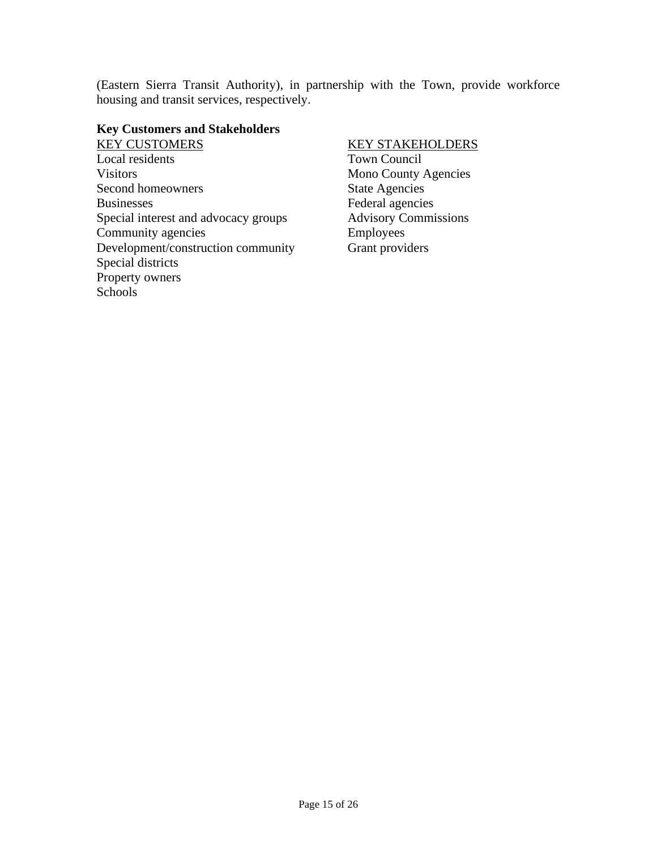(Eastern Sierra Transit Authority), in partnership with the Town, provide workforce housing and transit services, respectively.

#### **Key Customers and Stakeholders**

KEY CUSTOMERS Local residents **Visitors** Second homeowners Businesses Special interest and advocacy groups Community agencies Development/construction community Special districts Property owners Schools

#### KEY STAKEHOLDERS

Town Council Mono County Agencies State Agencies Federal agencies Advisory Commissions Employees Grant providers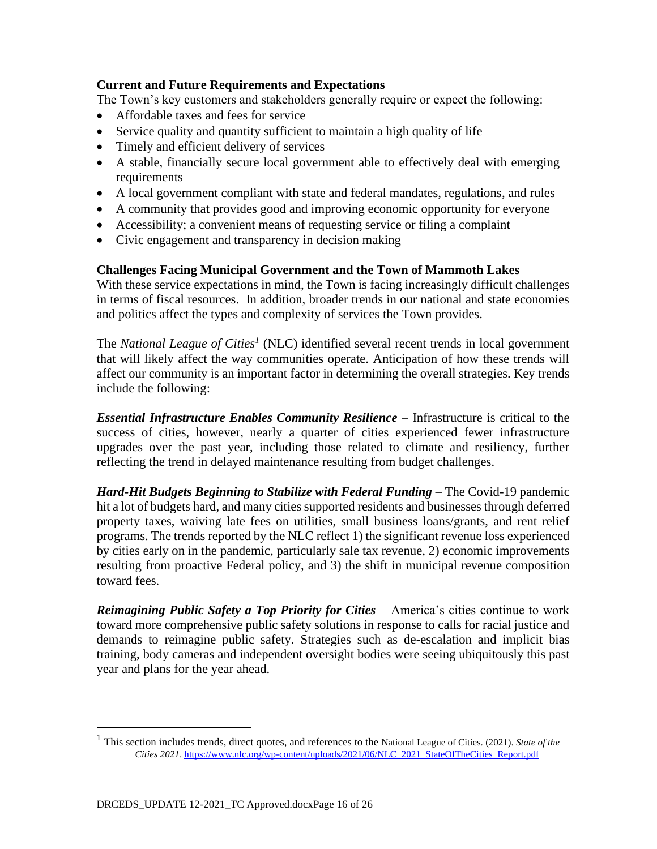#### **Current and Future Requirements and Expectations**

The Town's key customers and stakeholders generally require or expect the following:

- Affordable taxes and fees for service
- Service quality and quantity sufficient to maintain a high quality of life
- Timely and efficient delivery of services
- A stable, financially secure local government able to effectively deal with emerging requirements
- A local government compliant with state and federal mandates, regulations, and rules
- A community that provides good and improving economic opportunity for everyone
- Accessibility; a convenient means of requesting service or filing a complaint
- Civic engagement and transparency in decision making

#### **Challenges Facing Municipal Government and the Town of Mammoth Lakes**

With these service expectations in mind, the Town is facing increasingly difficult challenges in terms of fiscal resources. In addition, broader trends in our national and state economies and politics affect the types and complexity of services the Town provides.

The *National League of Cities<sup>1</sup>* (NLC) identified several recent trends in local government that will likely affect the way communities operate. Anticipation of how these trends will affect our community is an important factor in determining the overall strategies. Key trends include the following:

*Essential Infrastructure Enables Community Resilience* – Infrastructure is critical to the success of cities, however, nearly a quarter of cities experienced fewer infrastructure upgrades over the past year, including those related to climate and resiliency, further reflecting the trend in delayed maintenance resulting from budget challenges.

*Hard-Hit Budgets Beginning to Stabilize with Federal Funding* – The Covid-19 pandemic hit a lot of budgets hard, and many cities supported residents and businesses through deferred property taxes, waiving late fees on utilities, small business loans/grants, and rent relief programs. The trends reported by the NLC reflect 1) the significant revenue loss experienced by cities early on in the pandemic, particularly sale tax revenue, 2) economic improvements resulting from proactive Federal policy, and 3) the shift in municipal revenue composition toward fees.

*Reimagining Public Safety a Top Priority for Cities* – America's cities continue to work toward more comprehensive public safety solutions in response to calls for racial justice and demands to reimagine public safety. Strategies such as de-escalation and implicit bias training, body cameras and independent oversight bodies were seeing ubiquitously this past year and plans for the year ahead.

<sup>1</sup> This section includes trends, direct quotes, and references to the National League of Cities. (2021). *State of the Cities 2021*. [https://www.nlc.org/wp-content/uploads/2021/06/NLC\\_2021\\_StateOfTheCities\\_Report.pdf](https://www.nlc.org/wp-content/uploads/2021/06/NLC_2021_StateOfTheCities_Report.pdf)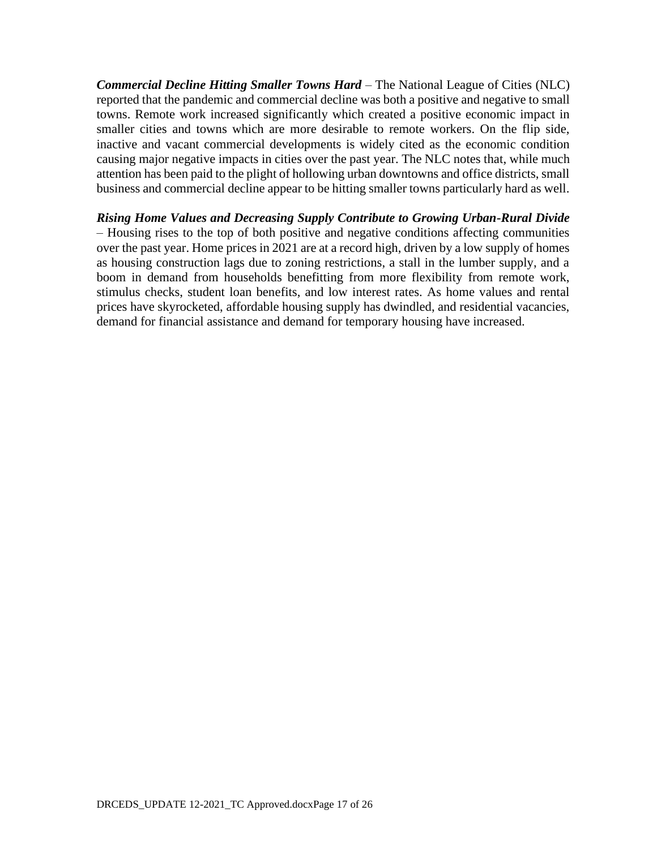*Commercial Decline Hitting Smaller Towns Hard* – The National League of Cities (NLC) reported that the pandemic and commercial decline was both a positive and negative to small towns. Remote work increased significantly which created a positive economic impact in smaller cities and towns which are more desirable to remote workers. On the flip side, inactive and vacant commercial developments is widely cited as the economic condition causing major negative impacts in cities over the past year. The NLC notes that, while much attention has been paid to the plight of hollowing urban downtowns and office districts, small business and commercial decline appear to be hitting smaller towns particularly hard as well.

*Rising Home Values and Decreasing Supply Contribute to Growing Urban-Rural Divide*  – Housing rises to the top of both positive and negative conditions affecting communities over the past year. Home prices in 2021 are at a record high, driven by a low supply of homes as housing construction lags due to zoning restrictions, a stall in the lumber supply, and a boom in demand from households benefitting from more flexibility from remote work, stimulus checks, student loan benefits, and low interest rates. As home values and rental prices have skyrocketed, affordable housing supply has dwindled, and residential vacancies, demand for financial assistance and demand for temporary housing have increased.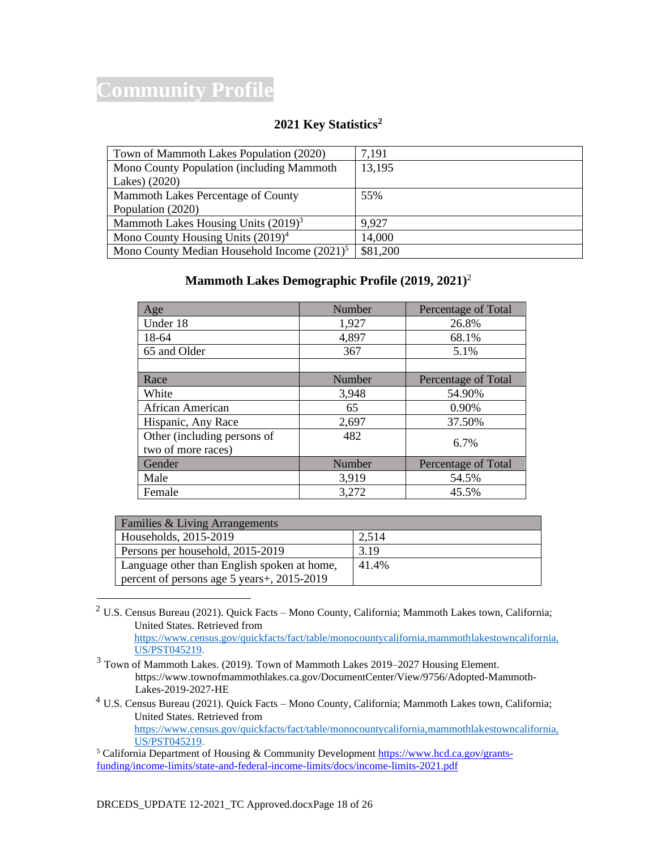# **Community Profile**

### **2021 Key Statistics<sup>2</sup>**

| Town of Mammoth Lakes Population (2020)        | 7,191    |
|------------------------------------------------|----------|
| Mono County Population (including Mammoth      | 13,195   |
| Lakes) (2020)                                  |          |
| Mammoth Lakes Percentage of County             | 55%      |
| Population (2020)                              |          |
| Mammoth Lakes Housing Units $(2019)^3$         | 9.927    |
| Mono County Housing Units $(2019)^4$           | 14,000   |
| Mono County Median Household Income $(2021)^5$ | \$81,200 |

#### **Mammoth Lakes Demographic Profile (2019, 2021)** 2

| Age                         | Number | Percentage of Total |
|-----------------------------|--------|---------------------|
| Under 18                    | 1,927  | 26.8%               |
| 18-64                       | 4,897  | 68.1%               |
| 65 and Older                | 367    | 5.1%                |
|                             |        |                     |
| Race                        | Number | Percentage of Total |
| White                       | 3,948  | 54.90%              |
| African American            | 65     | 0.90%               |
| Hispanic, Any Race          | 2,697  | 37.50%              |
| Other (including persons of | 482    | 6.7%                |
| two of more races)          |        |                     |
| Gender                      | Number | Percentage of Total |
| Male                        | 3,919  | 54.5%               |
| Female                      | 3,272  | 45.5%               |

| Families & Living Arrangements              |       |  |  |
|---------------------------------------------|-------|--|--|
| Households, 2015-2019                       | 2,514 |  |  |
| Persons per household, 2015-2019            | 3.19  |  |  |
| Language other than English spoken at home, | 41.4% |  |  |
| percent of persons age 5 years +, 2015-2019 |       |  |  |

<sup>2</sup> U.S. Census Bureau (2021). Quick Facts – Mono County, California; Mammoth Lakes town, California; United States. Retrieved from [https://www.census.gov/quickfacts/fact/table/monocountycalifornia,mammothlakestowncalifornia,](https://www.census.gov/quickfacts/fact/table/monocountycalifornia,mammothlakestowncalifornia,US/PST045219)

[US/PST045219.](https://www.census.gov/quickfacts/fact/table/monocountycalifornia,mammothlakestowncalifornia,US/PST045219)  $3$  Town of Mammoth Lakes. (2019). Town of Mammoth Lakes 2019–2027 Housing Element.

- [https://www.townofmammothlakes.ca.gov/DocumentCenter/View/9756/Adopted-Mammoth-](https://www.townofmammothlakes.ca.gov/DocumentCenter/View/9756/Adopted-Mammoth-Lakes-2019-2027-HE)[Lakes-2019-2027-HE](https://www.townofmammothlakes.ca.gov/DocumentCenter/View/9756/Adopted-Mammoth-Lakes-2019-2027-HE)
- <sup>4</sup> U.S. Census Bureau (2021). Quick Facts Mono County, California; Mammoth Lakes town, California; United States. Retrieved from [https://www.census.gov/quickfacts/fact/table/monocountycalifornia,mammothlakestowncalifornia,](https://www.census.gov/quickfacts/fact/table/monocountycalifornia,mammothlakestowncalifornia,US/PST045219) [US/PST045219.](https://www.census.gov/quickfacts/fact/table/monocountycalifornia,mammothlakestowncalifornia,US/PST045219)

<sup>&</sup>lt;sup>5</sup> California Department of Housing & Community Developmen[t https://www.hcd.ca.gov/grants](https://www.hcd.ca.gov/grants-funding/income-limits/state-and-federal-income-limits/docs/income-limits-2021.pdf)[funding/income-limits/state-and-federal-income-limits/docs/income-limits-2021.pdf](https://www.hcd.ca.gov/grants-funding/income-limits/state-and-federal-income-limits/docs/income-limits-2021.pdf)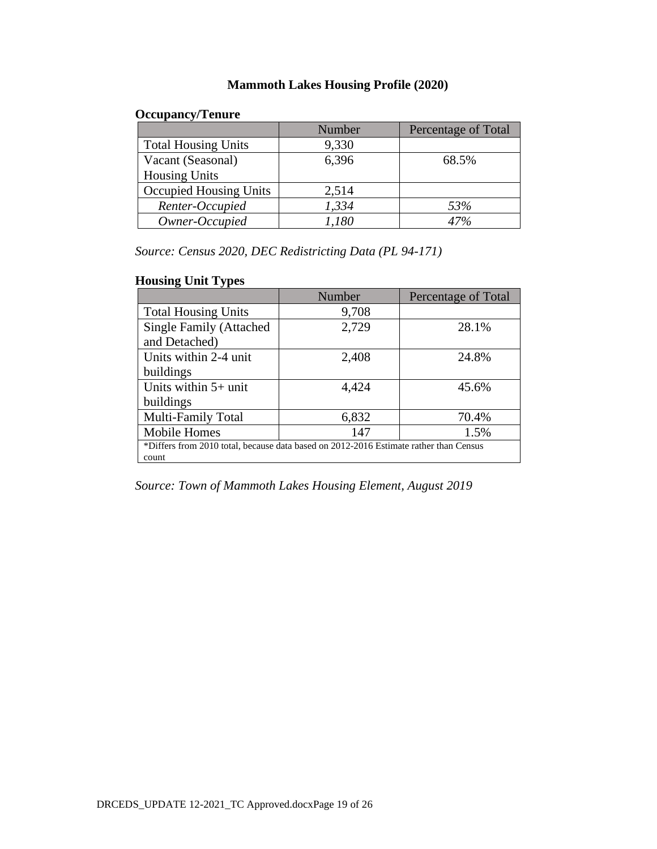### **Mammoth Lakes Housing Profile (2020)**

### **Occupancy/Tenure**

|                               | Number | Percentage of Total |
|-------------------------------|--------|---------------------|
| <b>Total Housing Units</b>    | 9,330  |                     |
| Vacant (Seasonal)             | 6,396  | 68.5%               |
| <b>Housing Units</b>          |        |                     |
| <b>Occupied Housing Units</b> | 2,514  |                     |
| Renter-Occupied               | 1,334  | 53%                 |
| Owner-Occupied                | .180   |                     |

*Source: Census 2020, DEC Redistricting Data (PL 94-171)*

### **Housing Unit Types**

|                                                                                       | Number | Percentage of Total |  |
|---------------------------------------------------------------------------------------|--------|---------------------|--|
| <b>Total Housing Units</b>                                                            | 9,708  |                     |  |
| <b>Single Family (Attached</b>                                                        | 2,729  | 28.1%               |  |
| and Detached)                                                                         |        |                     |  |
| Units within 2-4 unit                                                                 | 2,408  | 24.8%               |  |
| buildings                                                                             |        |                     |  |
| Units within $5+$ unit                                                                | 4,424  | 45.6%               |  |
| buildings                                                                             |        |                     |  |
| Multi-Family Total                                                                    | 6,832  | 70.4%               |  |
| <b>Mobile Homes</b>                                                                   | 147    | 1.5%                |  |
| *Differs from 2010 total, because data based on 2012-2016 Estimate rather than Census |        |                     |  |
| count                                                                                 |        |                     |  |

*Source: Town of Mammoth Lakes Housing Element, August 2019*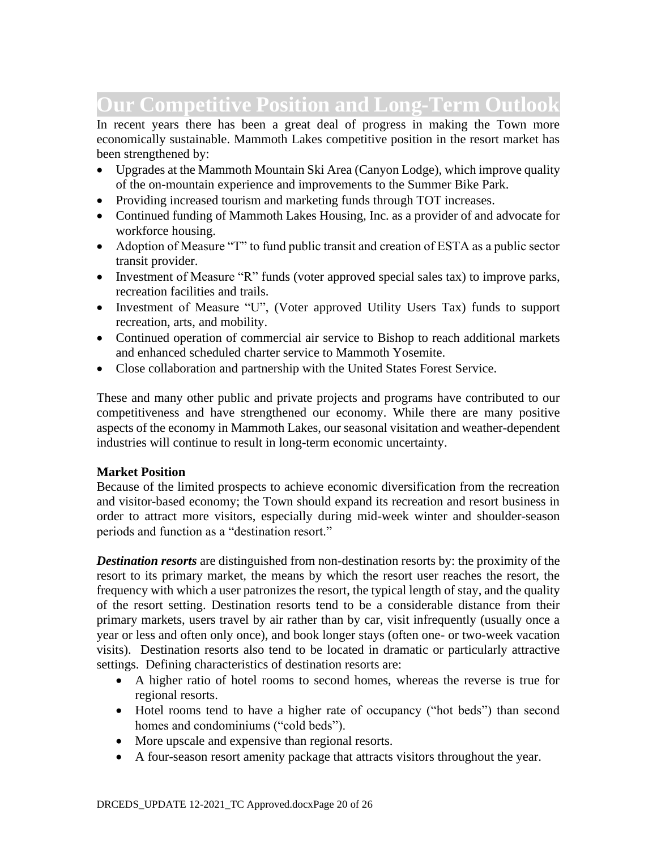# **Our Competitive Position and Long-Term Outlook**

In recent years there has been a great deal of progress in making the Town more economically sustainable. Mammoth Lakes competitive position in the resort market has been strengthened by:

- Upgrades at the Mammoth Mountain Ski Area (Canyon Lodge), which improve quality of the on-mountain experience and improvements to the Summer Bike Park.
- Providing increased tourism and marketing funds through TOT increases.
- Continued funding of Mammoth Lakes Housing, Inc. as a provider of and advocate for workforce housing.
- Adoption of Measure "T" to fund public transit and creation of ESTA as a public sector transit provider.
- Investment of Measure "R" funds (voter approved special sales tax) to improve parks, recreation facilities and trails.
- Investment of Measure "U", (Voter approved Utility Users Tax) funds to support recreation, arts, and mobility.
- Continued operation of commercial air service to Bishop to reach additional markets and enhanced scheduled charter service to Mammoth Yosemite.
- Close collaboration and partnership with the United States Forest Service.

These and many other public and private projects and programs have contributed to our competitiveness and have strengthened our economy. While there are many positive aspects of the economy in Mammoth Lakes, our seasonal visitation and weather-dependent industries will continue to result in long-term economic uncertainty.

#### **Market Position**

Because of the limited prospects to achieve economic diversification from the recreation and visitor-based economy; the Town should expand its recreation and resort business in order to attract more visitors, especially during mid-week winter and shoulder-season periods and function as a "destination resort."

*Destination resorts* are distinguished from non-destination resorts by: the proximity of the resort to its primary market, the means by which the resort user reaches the resort, the frequency with which a user patronizes the resort, the typical length of stay, and the quality of the resort setting. Destination resorts tend to be a considerable distance from their primary markets, users travel by air rather than by car, visit infrequently (usually once a year or less and often only once), and book longer stays (often one- or two-week vacation visits). Destination resorts also tend to be located in dramatic or particularly attractive settings. Defining characteristics of destination resorts are:

- A higher ratio of hotel rooms to second homes, whereas the reverse is true for regional resorts.
- Hotel rooms tend to have a higher rate of occupancy ("hot beds") than second homes and condominiums ("cold beds").
- More upscale and expensive than regional resorts.
- A four-season resort amenity package that attracts visitors throughout the year.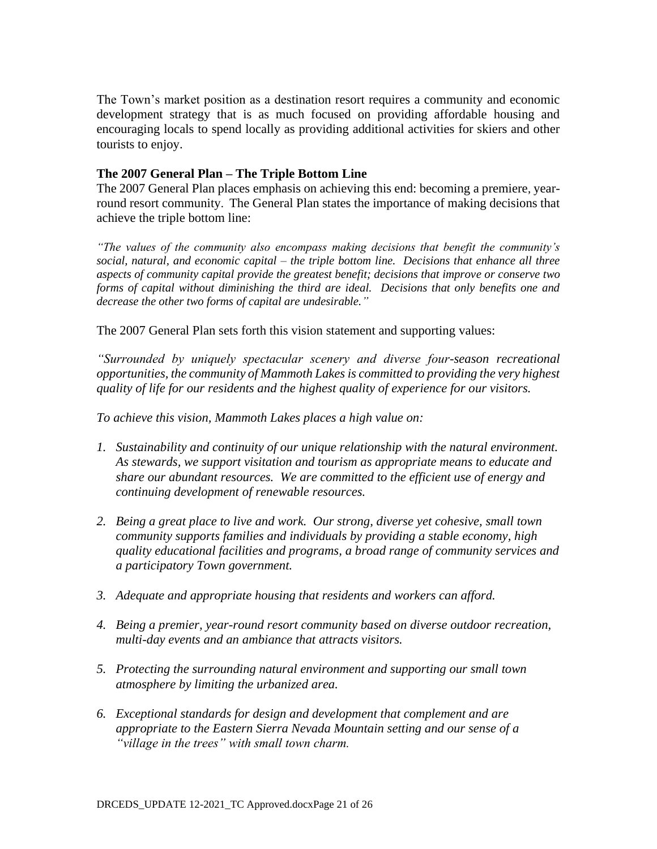The Town's market position as a destination resort requires a community and economic development strategy that is as much focused on providing affordable housing and encouraging locals to spend locally as providing additional activities for skiers and other tourists to enjoy.

#### **The 2007 General Plan – The Triple Bottom Line**

The 2007 General Plan places emphasis on achieving this end: becoming a premiere, yearround resort community. The General Plan states the importance of making decisions that achieve the triple bottom line:

*"The values of the community also encompass making decisions that benefit the community's social, natural, and economic capital – the triple bottom line. Decisions that enhance all three aspects of community capital provide the greatest benefit; decisions that improve or conserve two forms of capital without diminishing the third are ideal. Decisions that only benefits one and decrease the other two forms of capital are undesirable."* 

The 2007 General Plan sets forth this vision statement and supporting values:

*"Surrounded by uniquely spectacular scenery and diverse four-season recreational opportunities, the community of Mammoth Lakes is committed to providing the very highest quality of life for our residents and the highest quality of experience for our visitors.*

*To achieve this vision, Mammoth Lakes places a high value on:*

- *1. Sustainability and continuity of our unique relationship with the natural environment. As stewards, we support visitation and tourism as appropriate means to educate and share our abundant resources. We are committed to the efficient use of energy and continuing development of renewable resources.*
- *2. Being a great place to live and work. Our strong, diverse yet cohesive, small town community supports families and individuals by providing a stable economy, high quality educational facilities and programs, a broad range of community services and a participatory Town government.*
- *3. Adequate and appropriate housing that residents and workers can afford.*
- *4. Being a premier, year-round resort community based on diverse outdoor recreation, multi-day events and an ambiance that attracts visitors.*
- *5. Protecting the surrounding natural environment and supporting our small town atmosphere by limiting the urbanized area.*
- *6. Exceptional standards for design and development that complement and are appropriate to the Eastern Sierra Nevada Mountain setting and our sense of a "village in the trees" with small town charm.*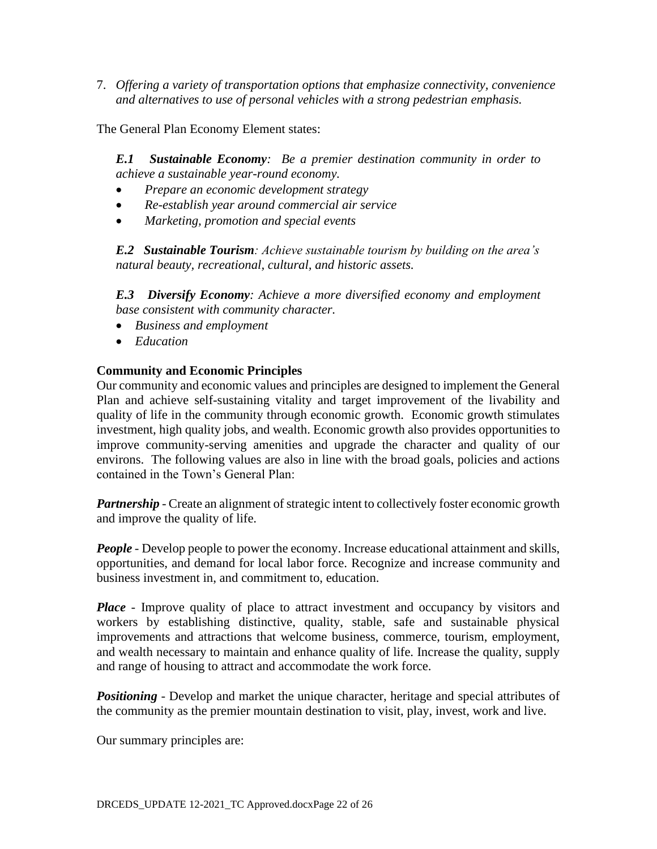7. *Offering a variety of transportation options that emphasize connectivity, convenience and alternatives to use of personal vehicles with a strong pedestrian emphasis.*

The General Plan Economy Element states:

*E.1 Sustainable Economy: Be a premier destination community in order to achieve a sustainable year-round economy.*

- *Prepare an economic development strategy*
- *Re-establish year around commercial air service*
- *Marketing, promotion and special events*

*E.2 Sustainable Tourism: Achieve sustainable tourism by building on the area's natural beauty, recreational, cultural, and historic assets.*

*E.3 Diversify Economy: Achieve a more diversified economy and employment base consistent with community character.*

- *Business and employment*
- *Education*

#### **Community and Economic Principles**

Our community and economic values and principles are designed to implement the General Plan and achieve self-sustaining vitality and target improvement of the livability and quality of life in the community through economic growth. Economic growth stimulates investment, high quality jobs, and wealth. Economic growth also provides opportunities to improve community-serving amenities and upgrade the character and quality of our environs. The following values are also in line with the broad goals, policies and actions contained in the Town's General Plan:

*Partnership* - Create an alignment of strategic intent to collectively foster economic growth and improve the quality of life.

*People* - Develop people to power the economy. Increase educational attainment and skills, opportunities, and demand for local labor force. Recognize and increase community and business investment in, and commitment to, education.

*Place* - Improve quality of place to attract investment and occupancy by visitors and workers by establishing distinctive, quality, stable, safe and sustainable physical improvements and attractions that welcome business, commerce, tourism, employment, and wealth necessary to maintain and enhance quality of life. Increase the quality, supply and range of housing to attract and accommodate the work force.

**Positioning** - Develop and market the unique character, heritage and special attributes of the community as the premier mountain destination to visit, play, invest, work and live.

Our summary principles are: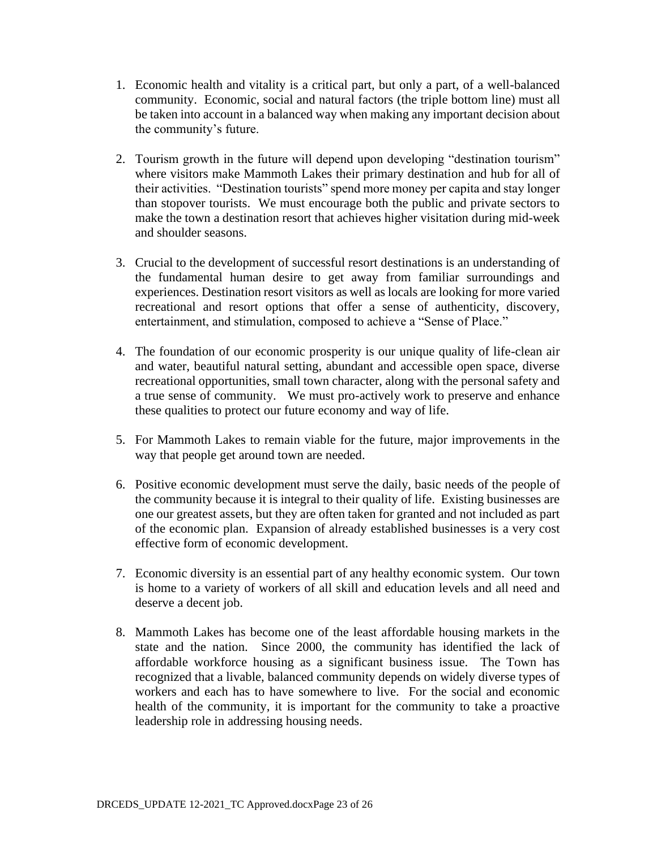- 1. Economic health and vitality is a critical part, but only a part, of a well-balanced community. Economic, social and natural factors (the triple bottom line) must all be taken into account in a balanced way when making any important decision about the community's future.
- 2. Tourism growth in the future will depend upon developing "destination tourism" where visitors make Mammoth Lakes their primary destination and hub for all of their activities. "Destination tourists" spend more money per capita and stay longer than stopover tourists. We must encourage both the public and private sectors to make the town a destination resort that achieves higher visitation during mid-week and shoulder seasons.
- 3. Crucial to the development of successful resort destinations is an understanding of the fundamental human desire to get away from familiar surroundings and experiences. Destination resort visitors as well as locals are looking for more varied recreational and resort options that offer a sense of authenticity, discovery, entertainment, and stimulation, composed to achieve a "Sense of Place."
- 4. The foundation of our economic prosperity is our unique quality of life-clean air and water, beautiful natural setting, abundant and accessible open space, diverse recreational opportunities, small town character, along with the personal safety and a true sense of community. We must pro-actively work to preserve and enhance these qualities to protect our future economy and way of life.
- 5. For Mammoth Lakes to remain viable for the future, major improvements in the way that people get around town are needed.
- 6. Positive economic development must serve the daily, basic needs of the people of the community because it is integral to their quality of life. Existing businesses are one our greatest assets, but they are often taken for granted and not included as part of the economic plan. Expansion of already established businesses is a very cost effective form of economic development.
- 7. Economic diversity is an essential part of any healthy economic system. Our town is home to a variety of workers of all skill and education levels and all need and deserve a decent job.
- 8. Mammoth Lakes has become one of the least affordable housing markets in the state and the nation. Since 2000, the community has identified the lack of affordable workforce housing as a significant business issue. The Town has recognized that a livable, balanced community depends on widely diverse types of workers and each has to have somewhere to live. For the social and economic health of the community, it is important for the community to take a proactive leadership role in addressing housing needs.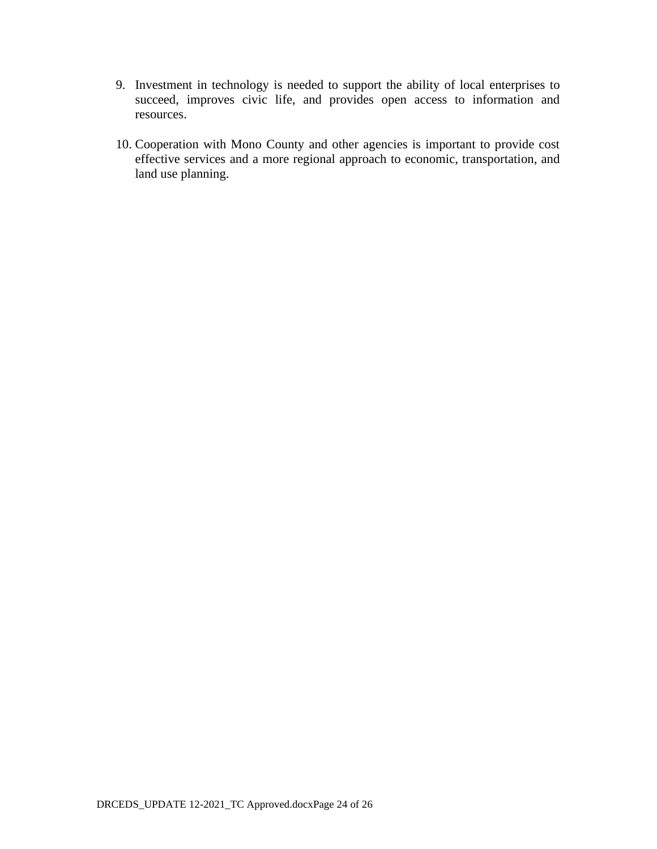- 9. Investment in technology is needed to support the ability of local enterprises to succeed, improves civic life, and provides open access to information and resources.
- 10. Cooperation with Mono County and other agencies is important to provide cost effective services and a more regional approach to economic, transportation, and land use planning.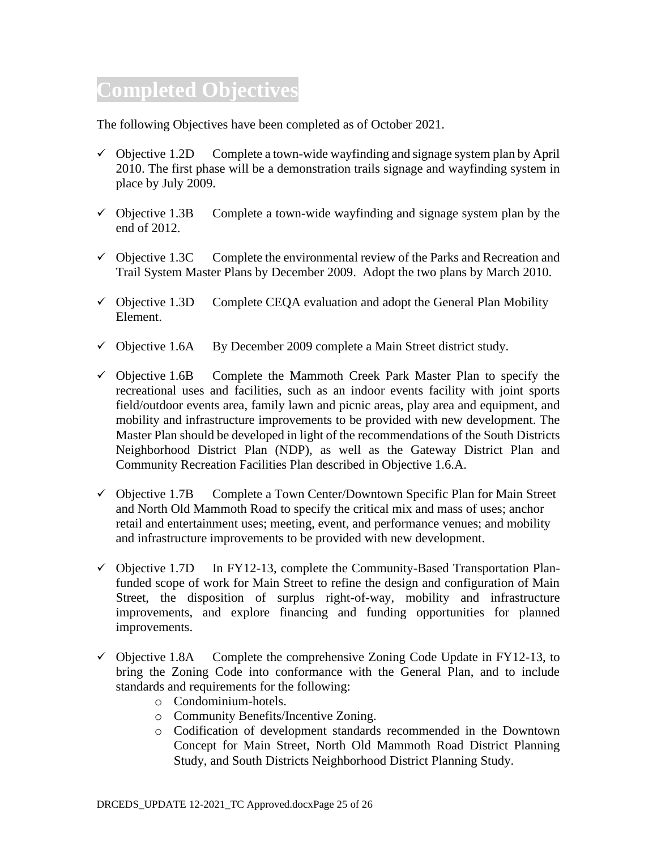# **Completed Objectives**

The following Objectives have been completed as of October 2021.

- $\checkmark$  Objective 1.2D Complete a town-wide wayfinding and signage system plan by April 2010. The first phase will be a demonstration trails signage and wayfinding system in place by July 2009.
- $\checkmark$  Objective 1.3B Complete a town-wide wayfinding and signage system plan by the end of 2012.
- $\checkmark$  Objective 1.3C Complete the environmental review of the Parks and Recreation and Trail System Master Plans by December 2009. Adopt the two plans by March 2010.
- $\checkmark$  Objective 1.3D Complete CEQA evaluation and adopt the General Plan Mobility Element.
- $\checkmark$  Objective 1.6A By December 2009 complete a Main Street district study.
- $\checkmark$  Objective 1.6B Complete the Mammoth Creek Park Master Plan to specify the recreational uses and facilities, such as an indoor events facility with joint sports field/outdoor events area, family lawn and picnic areas, play area and equipment, and mobility and infrastructure improvements to be provided with new development. The Master Plan should be developed in light of the recommendations of the South Districts Neighborhood District Plan (NDP), as well as the Gateway District Plan and Community Recreation Facilities Plan described in Objective 1.6.A.
- ✓ Objective 1.7B Complete a Town Center/Downtown Specific Plan for Main Street and North Old Mammoth Road to specify the critical mix and mass of uses; anchor retail and entertainment uses; meeting, event, and performance venues; and mobility and infrastructure improvements to be provided with new development.
- $\checkmark$  Objective 1.7D In FY12-13, complete the Community-Based Transportation Planfunded scope of work for Main Street to refine the design and configuration of Main Street, the disposition of surplus right-of-way, mobility and infrastructure improvements, and explore financing and funding opportunities for planned improvements.
- $\checkmark$  Objective 1.8A Complete the comprehensive Zoning Code Update in FY12-13, to bring the Zoning Code into conformance with the General Plan, and to include standards and requirements for the following:
	- o Condominium-hotels.
	- o Community Benefits/Incentive Zoning.
	- o Codification of development standards recommended in the Downtown Concept for Main Street, North Old Mammoth Road District Planning Study, and South Districts Neighborhood District Planning Study.